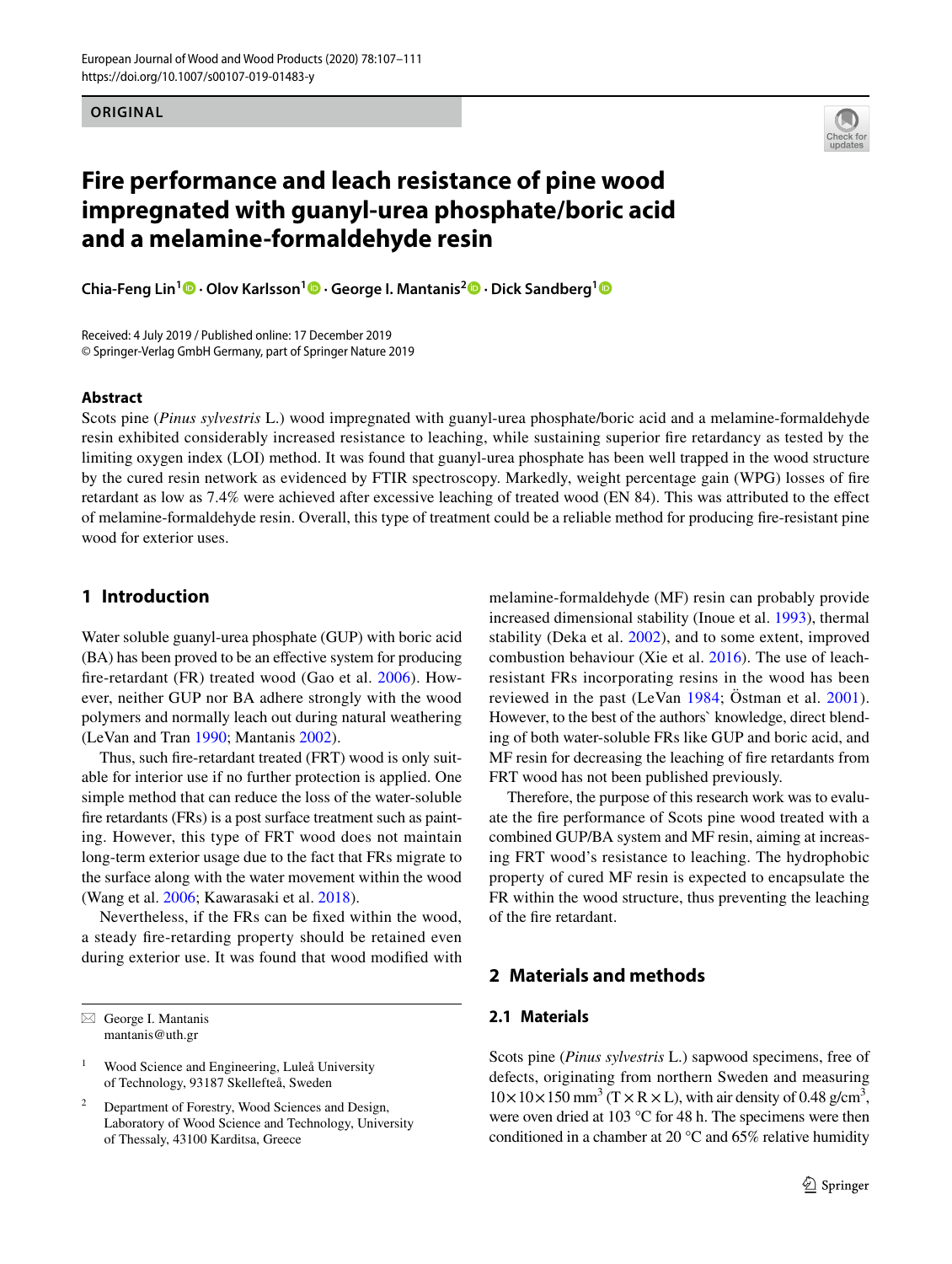## **ORIGINAL**

# **Fire performance and leach resistance of pine wood impregnated with guanyl-urea phosphate/boric acid and a melamine-formaldehyde resin**

**Chia‑Feng Lin1  [·](http://orcid.org/0000-0003-0852-5066) Olov Karlsson1  [·](http://orcid.org/0000-0002-7711-9267) George I. Mantanis2  [·](http://orcid.org/0000-0002-5715-783X) Dick Sandberg[1](http://orcid.org/0000-0002-4526-9391)**

Received: 4 July 2019 / Published online: 17 December 2019 © Springer-Verlag GmbH Germany, part of Springer Nature 2019

#### **Abstract**

Scots pine (*Pinus sylvestris* L.) wood impregnated with guanyl-urea phosphate/boric acid and a melamine-formaldehyde resin exhibited considerably increased resistance to leaching, while sustaining superior fre retardancy as tested by the limiting oxygen index (LOI) method. It was found that guanyl-urea phosphate has been well trapped in the wood structure by the cured resin network as evidenced by FTIR spectroscopy. Markedly, weight percentage gain (WPG) losses of fre retardant as low as 7.4% were achieved after excessive leaching of treated wood (EN 84). This was attributed to the efect of melamine-formaldehyde resin. Overall, this type of treatment could be a reliable method for producing fre-resistant pine wood for exterior uses.

# **1 Introduction**

Water soluble guanyl-urea phosphate (GUP) with boric acid (BA) has been proved to be an efective system for producing fre-retardant (FR) treated wood (Gao et al. [2006](#page-3-0)). However, neither GUP nor BA adhere strongly with the wood polymers and normally leach out during natural weathering (LeVan and Tran [1990;](#page-3-1) Mantanis [2002\)](#page-3-2).

Thus, such fre-retardant treated (FRT) wood is only suitable for interior use if no further protection is applied. One simple method that can reduce the loss of the water-soluble fire retardants (FRs) is a post surface treatment such as painting. However, this type of FRT wood does not maintain long-term exterior usage due to the fact that FRs migrate to the surface along with the water movement within the wood (Wang et al. [2006](#page-4-0); Kawarasaki et al. [2018](#page-3-3)).

Nevertheless, if the FRs can be fxed within the wood, a steady fre-retarding property should be retained even during exterior use. It was found that wood modifed with melamine-formaldehyde (MF) resin can probably provide increased dimensional stability (Inoue et al. [1993\)](#page-3-4), thermal stability (Deka et al. [2002\)](#page-3-5), and to some extent, improved combustion behaviour (Xie et al. [2016](#page-4-1)). The use of leachresistant FRs incorporating resins in the wood has been reviewed in the past (LeVan [1984;](#page-3-6) Östman et al. [2001](#page-3-7)). However, to the best of the authors` knowledge, direct blending of both water-soluble FRs like GUP and boric acid, and MF resin for decreasing the leaching of fre retardants from FRT wood has not been published previously.

Therefore, the purpose of this research work was to evaluate the fre performance of Scots pine wood treated with a combined GUP/BA system and MF resin, aiming at increasing FRT wood's resistance to leaching. The hydrophobic property of cured MF resin is expected to encapsulate the FR within the wood structure, thus preventing the leaching of the fre retardant.

# **2 Materials and methods**

## **2.1 Materials**

Scots pine (*Pinus sylvestris* L.) sapwood specimens, free of defects, originating from northern Sweden and measuring  $10 \times 10 \times 150$  mm<sup>3</sup> (T  $\times$  R  $\times$  L), with air density of 0.48 g/cm<sup>3</sup>, were oven dried at 103 °C for 48 h. The specimens were then conditioned in a chamber at 20 °C and 65% relative humidity

 $\boxtimes$  George I. Mantanis mantanis@uth.gr

<sup>&</sup>lt;sup>1</sup> Wood Science and Engineering, Luleå University of Technology, 93187 Skellefteå, Sweden

Department of Forestry, Wood Sciences and Design, Laboratory of Wood Science and Technology, University of Thessaly, 43100 Karditsa, Greece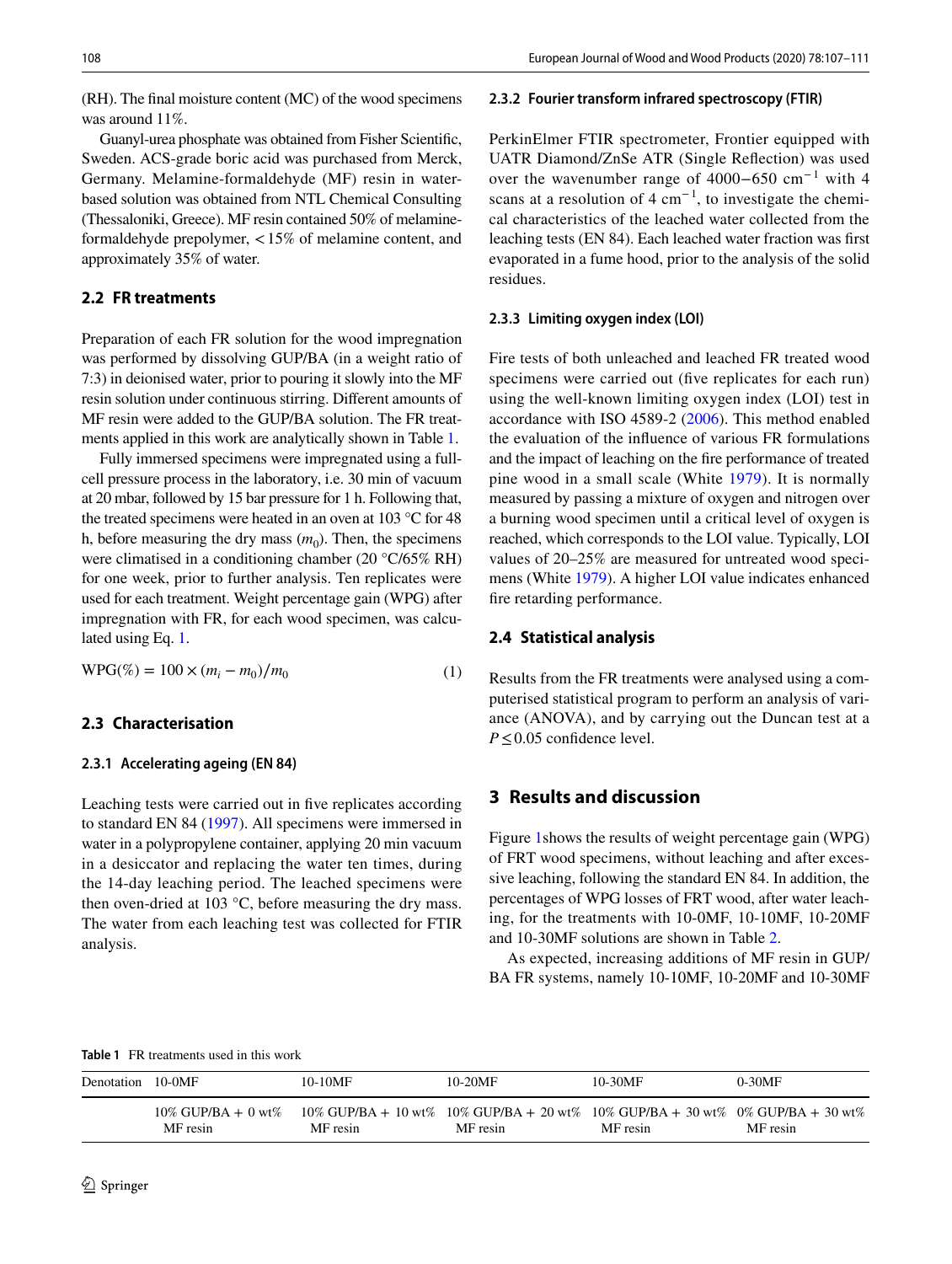(RH). The fnal moisture content (MC) of the wood specimens was around 11%.

Guanyl-urea phosphate was obtained from Fisher Scientifc, Sweden. ACS-grade boric acid was purchased from Merck, Germany. Melamine-formaldehyde (MF) resin in waterbased solution was obtained from NTL Chemical Consulting (Thessaloniki, Greece). MF resin contained 50% of melamineformaldehyde prepolymer, <15% of melamine content, and approximately 35% of water.

# **2.2 FR treatments**

Preparation of each FR solution for the wood impregnation was performed by dissolving GUP/BA (in a weight ratio of 7:3) in deionised water, prior to pouring it slowly into the MF resin solution under continuous stirring. Diferent amounts of MF resin were added to the GUP/BA solution. The FR treatments applied in this work are analytically shown in Table [1.](#page-1-0)

Fully immersed specimens were impregnated using a fullcell pressure process in the laboratory, i.e. 30 min of vacuum at 20 mbar, followed by 15 bar pressure for 1 h. Following that, the treated specimens were heated in an oven at 103 °C for 48 h, before measuring the dry mass  $(m_0)$ . Then, the specimens were climatised in a conditioning chamber (20 °C/65% RH) for one week, prior to further analysis. Ten replicates were used for each treatment. Weight percentage gain (WPG) after impregnation with FR, for each wood specimen, was calculated using Eq. [1](#page-1-1).

$$
WPG(\%) = 100 \times (m_i - m_0)/m_0 \tag{1}
$$

# **2.3 Characterisation**

#### **2.3.1 Accelerating ageing (EN 84)**

Leaching tests were carried out in fve replicates according to standard EN 84 [\(1997\)](#page-3-8). All specimens were immersed in water in a polypropylene container, applying 20 min vacuum in a desiccator and replacing the water ten times, during the 14-day leaching period. The leached specimens were then oven-dried at 103 °C, before measuring the dry mass. The water from each leaching test was collected for FTIR analysis.

#### **2.3.2 Fourier transform infrared spectroscopy (FTIR)**

PerkinElmer FTIR spectrometer, Frontier equipped with UATR Diamond/ZnSe ATR (Single Refection) was used over the wavenumber range of 4000–650 cm<sup>-1</sup> with 4 scans at a resolution of  $4 \text{ cm}^{-1}$ , to investigate the chemical characteristics of the leached water collected from the leaching tests (EN 84). Each leached water fraction was frst evaporated in a fume hood, prior to the analysis of the solid residues.

#### **2.3.3 Limiting oxygen index (LOI)**

Fire tests of both unleached and leached FR treated wood specimens were carried out (five replicates for each run) using the well-known limiting oxygen index (LOI) test in accordance with ISO 4589-2 ([2006\)](#page-3-9). This method enabled the evaluation of the infuence of various FR formulations and the impact of leaching on the fre performance of treated pine wood in a small scale (White [1979\)](#page-4-2). It is normally measured by passing a mixture of oxygen and nitrogen over a burning wood specimen until a critical level of oxygen is reached, which corresponds to the LOI value. Typically, LOI values of 20–25% are measured for untreated wood specimens (White [1979\)](#page-4-2). A higher LOI value indicates enhanced fre retarding performance.

#### **2.4 Statistical analysis**

<span id="page-1-1"></span>Results from the FR treatments were analysed using a computerised statistical program to perform an analysis of variance (ANOVA), and by carrying out the Duncan test at a *P*≤0.05 confidence level.

# **3 Results and discussion**

Figure [1s](#page-2-0)hows the results of weight percentage gain (WPG) of FRT wood specimens, without leaching and after excessive leaching, following the standard EN 84. In addition, the percentages of WPG losses of FRT wood, after water leaching, for the treatments with 10-0MF, 10-10MF, 10-20MF and 10-30MF solutions are shown in Table [2](#page-2-1).

As expected, increasing additions of MF resin in GUP/ BA FR systems, namely 10-10MF, 10-20MF and 10-30MF

<span id="page-1-0"></span>**Table 1** FR treatments used in this work

| Denotation | 10-0MF                            | 10-10MF  | 10-20MF                                                                                                | 10-30MF  | $0-30MF$ |
|------------|-----------------------------------|----------|--------------------------------------------------------------------------------------------------------|----------|----------|
|            | $10\%$ GUP/BA + 0 wt%<br>MF resin | MF resin | $10\%$ GUP/BA + 10 wt% $10\%$ GUP/BA + 20 wt% $10\%$ GUP/BA + 30 wt% $0\%$ GUP/BA + 30 wt%<br>MF resin | MF resin | MF resin |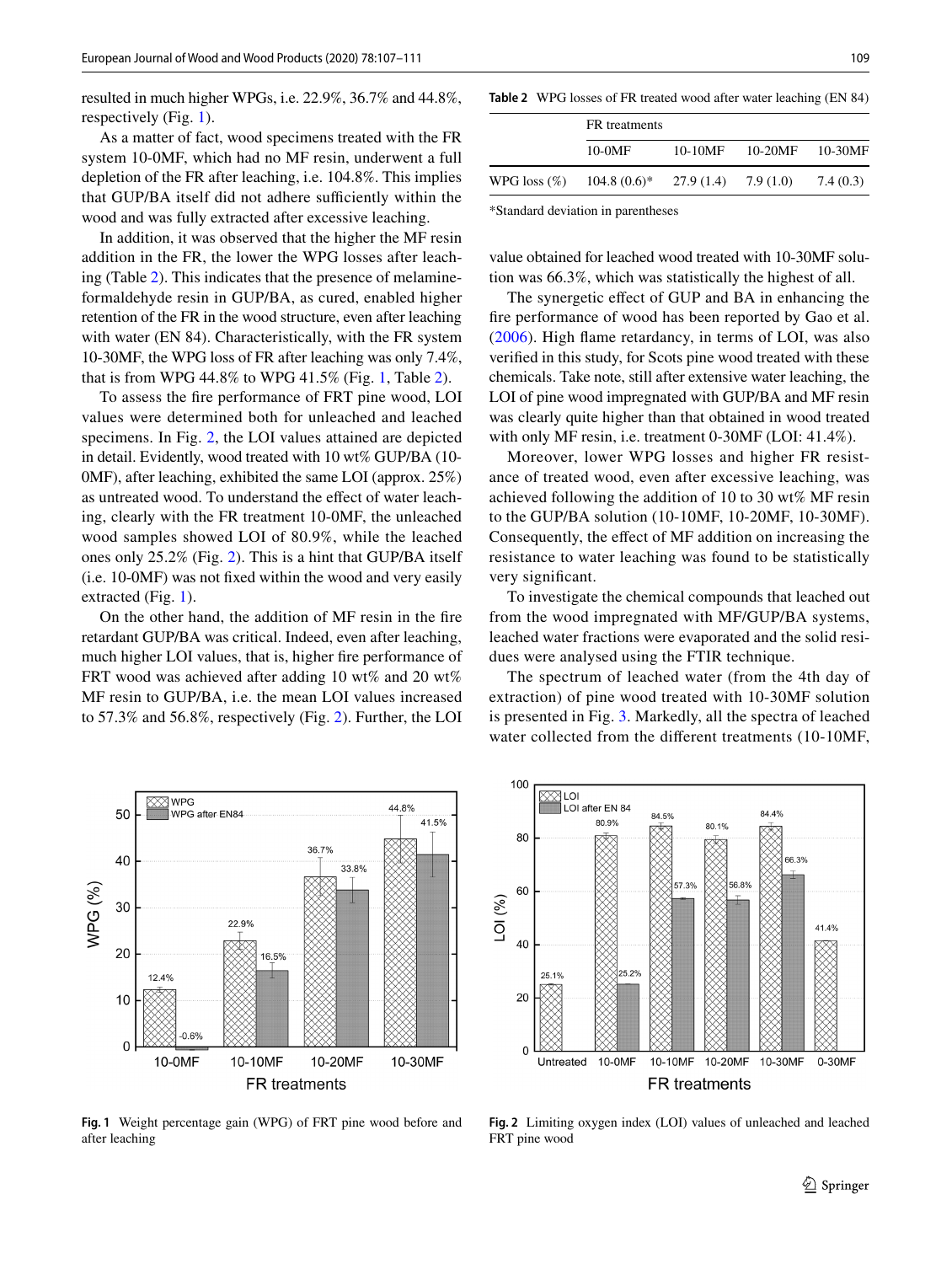resulted in much higher WPGs, i.e. 22.9%, 36.7% and 44.8%, respectively (Fig. [1\)](#page-2-0).

As a matter of fact, wood specimens treated with the FR system 10-0MF, which had no MF resin, underwent a full depletion of the FR after leaching, i.e. 104.8%. This implies that GUP/BA itself did not adhere sufficiently within the wood and was fully extracted after excessive leaching.

In addition, it was observed that the higher the MF resin addition in the FR, the lower the WPG losses after leaching (Table [2](#page-2-1)). This indicates that the presence of melamineformaldehyde resin in GUP/BA, as cured, enabled higher retention of the FR in the wood structure, even after leaching with water (EN 84). Characteristically, with the FR system 10-30MF, the WPG loss of FR after leaching was only 7.4%, that is from WPG 44.8% to WPG 41.5% (Fig. [1,](#page-2-0) Table [2](#page-2-1)).

To assess the fre performance of FRT pine wood, LOI values were determined both for unleached and leached specimens. In Fig. [2](#page-2-2), the LOI values attained are depicted in detail. Evidently, wood treated with 10 wt% GUP/BA (10- 0MF), after leaching, exhibited the same LOI (approx. 25%) as untreated wood. To understand the effect of water leaching, clearly with the FR treatment 10-0MF, the unleached wood samples showed LOI of 80.9%, while the leached ones only 25.2% (Fig. [2\)](#page-2-2). This is a hint that GUP/BA itself (i.e. 10-0MF) was not fxed within the wood and very easily extracted (Fig. [1](#page-2-0)).

On the other hand, the addition of MF resin in the fre retardant GUP/BA was critical. Indeed, even after leaching, much higher LOI values, that is, higher fre performance of FRT wood was achieved after adding 10 wt% and 20 wt% MF resin to GUP/BA, i.e. the mean LOI values increased to 57.3% and 56.8%, respectively (Fig. [2](#page-2-2)). Further, the LOI

<span id="page-2-1"></span>

|                                                          | FR treatments |         |         |           |  |  |
|----------------------------------------------------------|---------------|---------|---------|-----------|--|--|
|                                                          | 10-0MF        | 10-10MF | 10-20MF | 10-30MF   |  |  |
| WPG loss $(\%)$ 104.8 $(0.6)^*$ 27.9 $(1.4)$ 7.9 $(1.0)$ |               |         |         | 7.4 (0.3) |  |  |
|                                                          |               |         |         |           |  |  |

\*Standard deviation in parentheses

value obtained for leached wood treated with 10-30MF solution was 66.3%, which was statistically the highest of all.

The synergetic effect of GUP and BA in enhancing the fre performance of wood has been reported by Gao et al. ([2006](#page-3-0)). High fame retardancy, in terms of LOI, was also verifed in this study, for Scots pine wood treated with these chemicals. Take note, still after extensive water leaching, the LOI of pine wood impregnated with GUP/BA and MF resin was clearly quite higher than that obtained in wood treated with only MF resin, i.e. treatment 0-30MF (LOI: 41.4%).

Moreover, lower WPG losses and higher FR resistance of treated wood, even after excessive leaching, was achieved following the addition of 10 to 30 wt% MF resin to the GUP/BA solution (10-10MF, 10-20MF, 10-30MF). Consequently, the efect of MF addition on increasing the resistance to water leaching was found to be statistically very signifcant.

To investigate the chemical compounds that leached out from the wood impregnated with MF/GUP/BA systems, leached water fractions were evaporated and the solid residues were analysed using the FTIR technique.

The spectrum of leached water (from the 4th day of extraction) of pine wood treated with 10-30MF solution is presented in Fig. [3](#page-3-10). Markedly, all the spectra of leached water collected from the diferent treatments (10-10MF,



<span id="page-2-0"></span>**Fig. 1** Weight percentage gain (WPG) of FRT pine wood before and after leaching



<span id="page-2-2"></span>**Fig. 2** Limiting oxygen index (LOI) values of unleached and leached FRT pine wood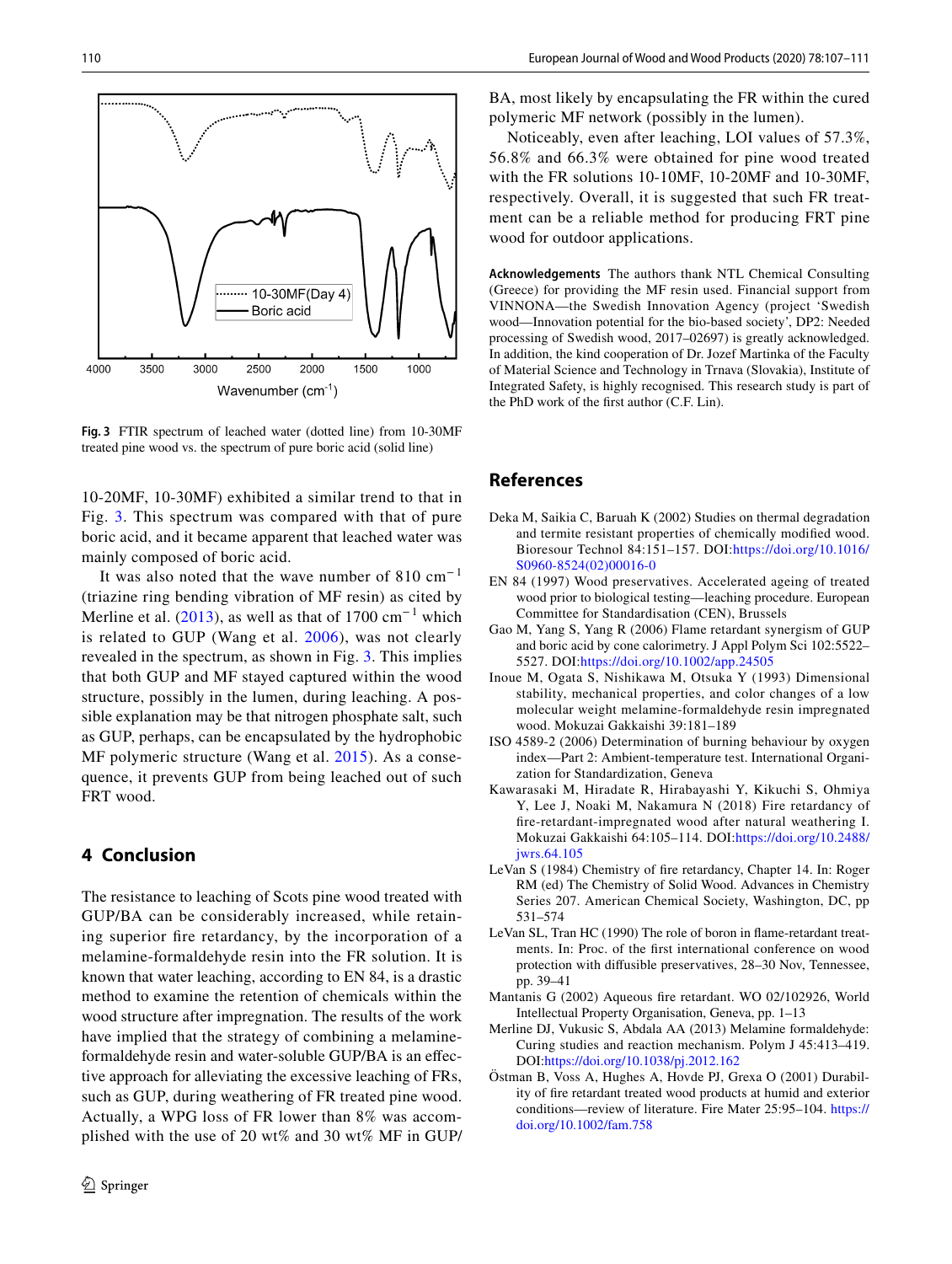

<span id="page-3-10"></span>**Fig. 3** FTIR spectrum of leached water (dotted line) from 10-30MF treated pine wood vs. the spectrum of pure boric acid (solid line)

10-20MF, 10-30MF) exhibited a similar trend to that in Fig. [3](#page-3-10). This spectrum was compared with that of pure boric acid, and it became apparent that leached water was mainly composed of boric acid.

It was also noted that the wave number of 810  $cm^{-1}$ (triazine ring bending vibration of MF resin) as cited by Merline et al.  $(2013)$ , as well as that of 1700 cm<sup>-1</sup> which is related to GUP (Wang et al. [2006](#page-4-0)), was not clearly revealed in the spectrum, as shown in Fig. [3.](#page-3-10) This implies that both GUP and MF stayed captured within the wood structure, possibly in the lumen, during leaching. A possible explanation may be that nitrogen phosphate salt, such as GUP, perhaps, can be encapsulated by the hydrophobic MF polymeric structure (Wang et al. [2015](#page-4-3)). As a consequence, it prevents GUP from being leached out of such FRT wood.

# **4 Conclusion**

The resistance to leaching of Scots pine wood treated with GUP/BA can be considerably increased, while retaining superior fre retardancy, by the incorporation of a melamine-formaldehyde resin into the FR solution. It is known that water leaching, according to EN 84, is a drastic method to examine the retention of chemicals within the wood structure after impregnation. The results of the work have implied that the strategy of combining a melamineformaldehyde resin and water-soluble GUP/BA is an efective approach for alleviating the excessive leaching of FRs, such as GUP, during weathering of FR treated pine wood. Actually, a WPG loss of FR lower than 8% was accomplished with the use of 20 wt% and 30 wt% MF in GUP/ BA, most likely by encapsulating the FR within the cured polymeric MF network (possibly in the lumen).

Noticeably, even after leaching, LOI values of 57.3%, 56.8% and 66.3% were obtained for pine wood treated with the FR solutions 10-10MF, 10-20MF and 10-30MF, respectively. Overall, it is suggested that such FR treatment can be a reliable method for producing FRT pine wood for outdoor applications.

**Acknowledgements** The authors thank NTL Chemical Consulting (Greece) for providing the MF resin used. Financial support from VINNONA—the Swedish Innovation Agency (project 'Swedish wood—Innovation potential for the bio-based society', DP2: Needed processing of Swedish wood, 2017–02697) is greatly acknowledged. In addition, the kind cooperation of Dr. Jozef Martinka of the Faculty of Material Science and Technology in Trnava (Slovakia), Institute of Integrated Safety, is highly recognised. This research study is part of the PhD work of the frst author (C.F. Lin).

# **References**

- <span id="page-3-5"></span>Deka M, Saikia C, Baruah K (2002) Studies on thermal degradation and termite resistant properties of chemically modifed wood. Bioresour Technol 84:151–157. DOI:[https://doi.org/10.1016/](https://doi.org/10.1016/S0960-8524(02)00016-0) [S0960-8524\(02\)00016-0](https://doi.org/10.1016/S0960-8524(02)00016-0)
- <span id="page-3-8"></span>EN 84 (1997) Wood preservatives. Accelerated ageing of treated wood prior to biological testing—leaching procedure. European Committee for Standardisation (CEN), Brussels
- <span id="page-3-0"></span>Gao M, Yang S, Yang R (2006) Flame retardant synergism of GUP and boric acid by cone calorimetry. J Appl Polym Sci 102:5522– 5527. DOI[:https://doi.org/10.1002/app.24505](https://doi.org/10.1002/app.24505)
- <span id="page-3-4"></span>Inoue M, Ogata S, Nishikawa M, Otsuka Y (1993) Dimensional stability, mechanical properties, and color changes of a low molecular weight melamine-formaldehyde resin impregnated wood. Mokuzai Gakkaishi 39:181–189
- <span id="page-3-9"></span>ISO 4589-2 (2006) Determination of burning behaviour by oxygen index—Part 2: Ambient-temperature test. International Organization for Standardization, Geneva
- <span id="page-3-3"></span>Kawarasaki M, Hiradate R, Hirabayashi Y, Kikuchi S, Ohmiya Y, Lee J, Noaki M, Nakamura N (2018) Fire retardancy of fre-retardant-impregnated wood after natural weathering I. Mokuzai Gakkaishi 64:105–114. DOI[:https://doi.org/10.2488/](https://doi.org/10.2488/jwrs.64.105) [jwrs.64.105](https://doi.org/10.2488/jwrs.64.105)
- <span id="page-3-6"></span>LeVan S (1984) Chemistry of fre retardancy, Chapter 14. In: Roger RM (ed) The Chemistry of Solid Wood. Advances in Chemistry Series 207. American Chemical Society, Washington, DC, pp 531–574
- <span id="page-3-1"></span>LeVan SL, Tran HC (1990) The role of boron in fame-retardant treatments. In: Proc. of the frst international conference on wood protection with difusible preservatives, 28–30 Nov, Tennessee, pp. 39–41
- <span id="page-3-2"></span>Mantanis G (2002) Aqueous fre retardant. WO 02/102926, World Intellectual Property Organisation, Geneva, pp. 1–13
- <span id="page-3-11"></span>Merline DJ, Vukusic S, Abdala AA (2013) Melamine formaldehyde: Curing studies and reaction mechanism. Polym J 45:413–419. DOI:<https://doi.org/10.1038/pj.2012.162>
- <span id="page-3-7"></span>Östman B, Voss A, Hughes A, Hovde PJ, Grexa O (2001) Durability of fre retardant treated wood products at humid and exterior conditions—review of literature. Fire Mater 25:95–104. [https://](https://doi.org/10.1002/fam.758) [doi.org/10.1002/fam.758](https://doi.org/10.1002/fam.758)